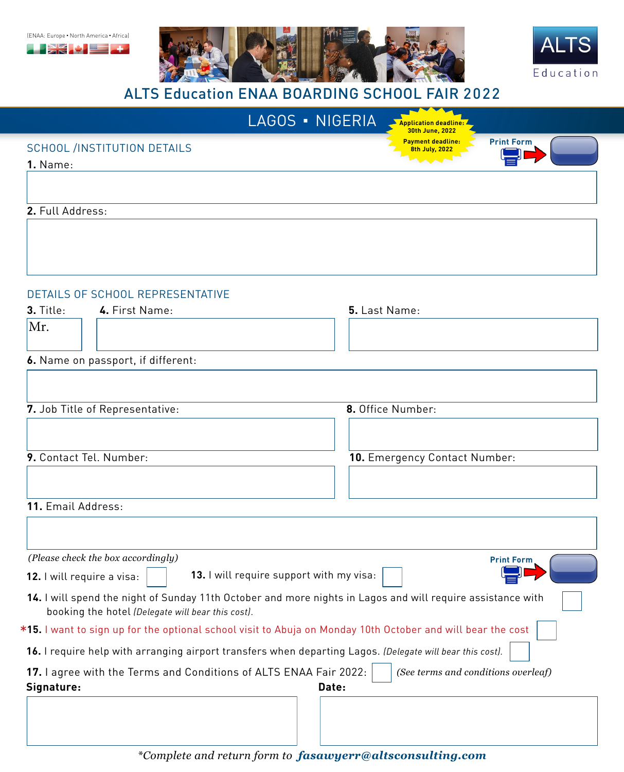





| <b>ALTS Education ENAA BOARDING SCHOOL FAIR 2022</b>                                                                                                                                           |                                                                 |
|------------------------------------------------------------------------------------------------------------------------------------------------------------------------------------------------|-----------------------------------------------------------------|
| LAGOS - NIGERIA                                                                                                                                                                                | <b>Application deadline:</b><br>30th June, 2022                 |
| <b>SCHOOL /INSTITUTION DETAILS</b><br>1. Name:                                                                                                                                                 | <b>Payment deadline:</b><br><b>Print Form</b><br>8th July, 2022 |
| 2. Full Address:                                                                                                                                                                               |                                                                 |
|                                                                                                                                                                                                |                                                                 |
| DETAILS OF SCHOOL REPRESENTATIVE<br>3. Title:<br>4. First Name:                                                                                                                                | 5. Last Name:                                                   |
| Mr.                                                                                                                                                                                            |                                                                 |
| 6. Name on passport, if different:                                                                                                                                                             |                                                                 |
| 7. Job Title of Representative:                                                                                                                                                                | 8. Office Number:                                               |
| 9. Contact Tel. Number:                                                                                                                                                                        | 10. Emergency Contact Number:                                   |
| 11. Email Address:                                                                                                                                                                             |                                                                 |
| (Please check the box accordingly)<br>13. I will require support with my visa:                                                                                                                 | <b>Print Form</b>                                               |
| 12. I will require a visa:<br>14. I will spend the night of Sunday 11th October and more nights in Lagos and will require assistance with<br>booking the hotel (Delegate will bear this cost). |                                                                 |
| *15. I want to sign up for the optional school visit to Abuja on Monday 10th October and will bear the cost                                                                                    |                                                                 |
| 16. I require help with arranging airport transfers when departing Lagos. (Delegate will bear this cost).                                                                                      |                                                                 |
| 17. I agree with the Terms and Conditions of ALTS ENAA Fair 2022:<br>Signature:                                                                                                                | (See terms and conditions overleaf)<br>Date:                    |
|                                                                                                                                                                                                |                                                                 |
|                                                                                                                                                                                                |                                                                 |

*\*Complete and return form to fasawyerr@altsconsulting.com*